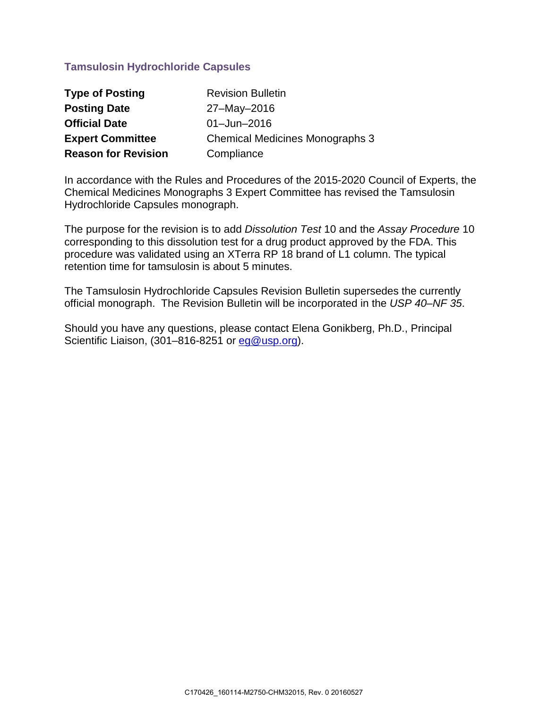# **Tamsulosin Hydrochloride Capsules**

| <b>Type of Posting</b>     | <b>Revision Bulletin</b>               |
|----------------------------|----------------------------------------|
| <b>Posting Date</b>        | 27-May-2016                            |
| <b>Official Date</b>       | $01 -$ Jun $-2016$                     |
| <b>Expert Committee</b>    | <b>Chemical Medicines Monographs 3</b> |
| <b>Reason for Revision</b> | Compliance                             |

In accordance with the Rules and Procedures of the 2015-2020 Council of Experts, the Chemical Medicines Monographs 3 Expert Committee has revised the Tamsulosin Hydrochloride Capsules monograph.

The purpose for the revision is to add *Dissolution Test* 10 and the *Assay Procedure* 10 corresponding to this dissolution test for a drug product approved by the FDA. This procedure was validated using an XTerra RP 18 brand of L1 column. The typical retention time for tamsulosin is about 5 minutes.

The Tamsulosin Hydrochloride Capsules Revision Bulletin supersedes the currently official monograph. The Revision Bulletin will be incorporated in the *USP 40–NF 35*.

Should you have any questions, please contact Elena Gonikberg, Ph.D., Principal Scientific Liaison, (301–816-8251 or [eg@usp.org\)](mailto:eg@usp.org).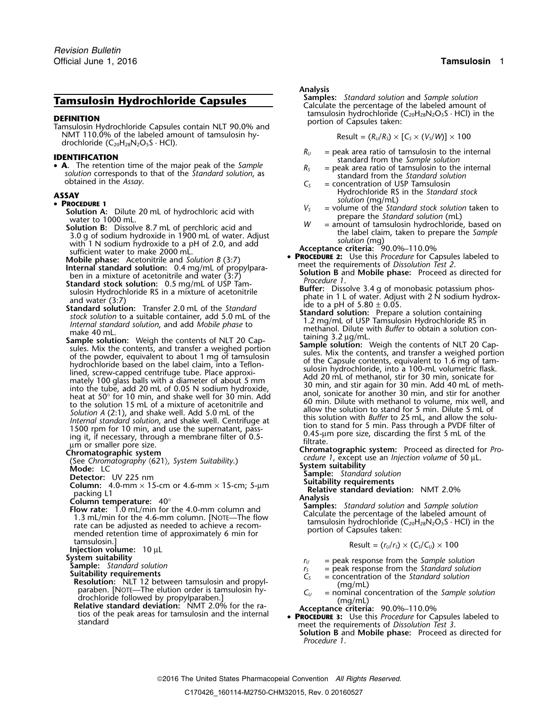**DEFINITION**<br>Tamsulosin Hydrochloride Capsules contain NLT 90.0% and portion of Capsules taken: NMT 110.0% of the labeled amount of tamsulosin hy-<br>Result =  $(R_U/R_S) \times [C_S \times (V_S/W)] \times 100$ drochloride  $(C_{20}H_{28}N_2O_5S \cdot HCl)$ .

• **A.** The retention time of the major peak of the *Sample*<br>solution corresponds to that of the *Standard solution*, as<br>obtained in the *Assay*.<br>obtained in the *Assay*.<br> $C_s$  = concentration of USP Tamsulosin

- 
- **Solution A:** Dilute 20 mL of hydrochloric acid with<br>water to 1000 mL.<br>**Solution B:** Dissolve 8.7 mL of perchloric acid and<br>3.0 g of sodium hydroxide in 1900 mL of water. Adjust<br>with 1 N sodium hydroxide to a pH of 2.0, a
- 
- 
- 
- **Mobile phase:** Acetonitrile and Solution B (3:7)<br> **EXECUTE 2:** Use this Procedure for Capsules labeled to<br>
Internal standard solution: 0.4 mg/mL of propylpara-<br>
Solution B and Mobile phase: Proceed as directed for<br>
Standa
- Sample solution: Weigh the contents of NLT 20 Cap-<br>sules. Mix the contents, and transfer a weighed portion<br>of the powder, equivalent to about 1 mg of tamsulosin<br>hydrochloride based on the label claim, into a Teflon-<br>lined, into the tube, add 20 mL of 0.05 N sodium hydroxide,<br>
head and window the solution 15 mL of 0.05 N sodium hydroxide,<br>
head at 50° for 10 min, and shake well for 30 min. Add<br>
to the solution 15 mL of a mixture of acetonitri

- 
- Show Commatography (621), System Suitability.<br>
Mode: LC<br>
Detector: UV 225 nm<br>
Column: 4.0-mm × 15-cm or 4.6-mm × 15-cm; 5-µm<br>
packing L1<br>
Detector: UV 225 nm<br>
Suitability requirements<br>
Relative standard deviating<br>
Relative **Packing L1 Relative standard deviation:** NMT 2.0%<br>packing L1<br>**Column temperature:** 40° **Analysis**<br>**Relative standard deviation:** NMT 2.0%<br>**Samples:** Standard solution and Sample solu
- 
- mended retention time of approximately 6 min for tamsulosin.]<br>**Injection volume:** 10 μL<br>**System suitability**
- 
- 
- 

- Sumple: Standard solution<br>
Sumple: Standard solution<br>
Suitability requirements<br>
Suitability requirements<br>
Resolution: NLT 12 between tamsulosin and propyl-<br>
paraben. [NOTE—The elution order is tamsulosin hy-<br>
drochloride
- 

### *.* **Analysis**

**Tamsulosin Hydrochloride Capsules** Samples: *Standard solution* and *Sample solution*<br>Calculate the percentage of the labeled amount of<br>**EXECUTE:** tamsulosin hydrochloride (C<sub>20</sub>H<sub>28</sub>N<sub>2</sub>O<sub>5</sub>S · HCl) in the

- **IDENTIFICATION**<br>
 **A**. The retention time of the major peak of the *Sample*<br>
 **A.** The retention time of the major peak of the *Sample*<br>  $R_S$  = peak area ratio of tamsulosin to the internal
	-
- ASSAY<br> **H**ydrochloride RS in the *Standard stock*<br> **PROCEDURE 1**<br>
Solution A: Dilute 20 ml of bydrochloric acid with  $V_s$  = volume of the *Standard stock solution* taken to
	-
	- solution (mg)<br>**Acceptance criteria:** 90.0%–110.0%<br>**PROCEDURE 2:** Use this *Procedure* for Capsules labeled to
		-
	-
	-
	-
	- methanol. Dilute with *Buffer* to obtain a solution containing 3.2  $\mu$ g/mL.
	- lined, screw-capped centrifuge tube. Place approxi-<br>mately 100 glass balls with a diameter of about 5 mm Add 20 mL of methanol, stir for 30 min, sonicate for<br>into the tube, add 20 mL of 0.05 N sodium hydroxide,<br>the same st

- 
- 

Flow rate: 1.0 m/min for the 4.0-mm column and<br>
1.3 mL/min for the 4.6-mm column. [NOTE—The flow<br>
The standard solution and Sample solution<br>
The flow<br>
The standard solution and Sample solution<br>
Calculate the percentage of

$$
Result = (r_U/r_S) \times (C_S/C_U) \times 100
$$

- 
- 
- 
- 
- 
- **PROCEDURE 3:** Use this *Procedure* for Capsules labeled to meet the requirements of *Dissolution Test 3*. **Solution B** and **Mobile phase:** Proceed as directed for *Procedure 1*.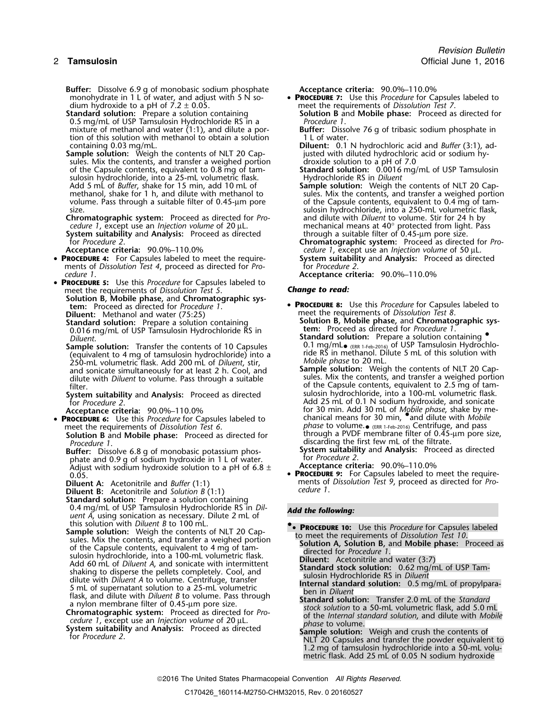**Buffer:** Dissolve 6.9 g of monobasic sodium phosphate **Acceptance criteria:** 90.0%–110.0%<br>monohvdrate in 1 L of water, and adjust with 5 N so- **PROCEDURE 7:** Use this *Procedure* for Capsules labeled to monohydrate in 1 L of water, and adjust with 5 N so-<br>dium hydroxide to a pH of  $7.2 \pm 0.05$ .

0.5 mg/mL of USP Tamsulosin Hydrochloride RS in a *Procedure 1*. mixture of methanol and water (1:1), and dilute a por-<br>tion of this solution with methanol to obtain a solution 1 L of water. tion of this solution with methanol to obtain a solution

**Sample solution:** Weigh the contents of NLT 20 Cap- justed with diluted hydrochloric sules. Mix the contents, and transfer a weighed portion droxide solution to a pH of 7.0 sules. Mix the contents, and transfer a weighed portion divide solution to a pH of 7.0<br>of the Capsule contents, equivalent to 0.8 mg of tam-**Standard solution:** 0.0016 mg/mL of USP Tamsulosin of the Capsule contents, equivalent to 0.8 mg of tam- **Standard solution:** 0.0016 mg/mL of USP Tamsulosin sulosin hydrochloride, into a 25-mL volumetric flask. Hydrochloride RS in *Diluent* Add 5 mL of *Buffer*, shake for 15 min, add 10 mL of **Sample solution:** Weigh the contents of NLT 20 Capmethanol, shake for 1 h, and dilute with methanol to sules. Mix the contents, and transfer a weighed portio volume. Pass through a suitable filter of 0.45-µm pore of the Capsule contents, equivalent to 0.4 mg of tam-<br>size. of the Capsule contents, equivalent to 0.4 mg of tam-

**Chromatographic system:** Proceed as directed for *Pro-* cedure 1, except use an *Injection volume* of 20  $\mu$ L. **System suitability** and **Analysis:** Proceed as directed for *Procedure 2*.

- **PROCEDURE <sup>4</sup>:** For Capsules labeled to meet the require- **System suitability** and **Analysis:** Proceed as directed ments of *Dissolution Test 4*, proceed as directed for *Pro-* for *Procedure 2*.<br> *cedure 1* Acceptance crite
- **PROCEDURE <sup>5</sup>:** Use this *Procedure* for Capsules labeled to meet the requirements of *Dissolution Test 5*. **Change to read:** Solution B, Mobile phase, and Chromatographic system: Proceed as directed for *Procedure 1*. **Diluent:** Methanol and water (75:25)<br>**Standard solution:** Prepare a solution containing
	- 0.016 mg/mL of USP Tamsulosin Hydrochloride RS in Diluent.
	- (equivalent to 4 mg of tamsulosin hydrochloride) into a ride RS in methanol. Dilute 5 methanol. Dilute 5 mL.<br>250-mL volumetric flask, Add 200 mL of *Diluent, stir.* This *Mobile phase* to 20 mL. 250-mL volumetric flask. Add 200 mL of *Diluent*, stir, *Mobile phase* to 20 mL.<br>and sonicate simultaneously for at least 2 h. Cool, and **Sample solution:** Weigh the contents of NLT 20 Capand sonicate simultaneously for at least 2 h. Cool, and dilute with *Diluent* to volume. Pass through a suitable
	-

- 
- **Solution B** and **Mobile phase:** Proceed as directed for *Procedure 1*.
- phate and 0.9 g of sodium hydroxide in 1 L of water.<br>Adjust with sodium hydroxide solution to a pH of 6.8  $\pm$  **Acceptance criteria:** 90.0%–110.0% Adjust with sodium hydroxide solution to a pH of 6.8  $\pm$ <br>0.05
- 

**Diluent B:** *cedure 1*. Acetonitrile and *Solution B* (1:1)

- **Standard solution:** Prepare a solution containing 0.4 mg/mL of USP Tamsulosin Hydrochloride RS in *Dil- Add the following: uent A*, using sonication as necessary. Dilute 2 mL of
- Sample solution: *Diegition* by the contents of NLT 20 Cap-<br>
sules. Mix the contents, and transfer a weighed portion<br>
sules. Mix the contents, and transfer a weighed portion<br>
of the Capsule contents, equivalent to 4 mg of
- 
- 

- meet the requirements of *Dissolution Test 7*.<br>**Solution B** and **Mobile phase:** Proceed as directed for **Standard solution:** Prepare a solution containing **Solution B** and **Mobile phase:** Proceed as directed for
	-
- containing 0.03 mg/mL. **Diluent:** 0.1 N hydrochloric acid and *Buffer* (3:1), ad-
	-
- methanol, shake for 1 h, and dilute with methanol to sules. Mix the contents, and transfer a weighed portion volume. Pass through a suitable filter of 0.45-µm pore of the Capsule contents, equivalent to 0.4 mg of tamsulosin hydrochloride, into a 250-mL volumetric flask, and dilute with *Diluent* to volume. Stir for 24 h by mechanical means at 40° protected from light. Pass through a suitable filter of 0.45-um pore size. for *Procedure 2*. **Chromatographic system:** Proceed as directed for *Pro-***Accept and System in the criterial criteria:** 1, except use an *Injection volume* of 50 µL.<br>**System suitability** and **Analysis:** Proceed as directed
	-

*cedure 1*. **Acceptance criteria:** 90.0%–110.0%

- **PROCEDURE 8:** Use this *Procedure* for Capsules labeled to meet the requirements of *Dissolution Test 8*. **Solution B, Mobile phase, and Chromatographic sys-<br>
<b>Leon:** Proceed as directed for *Procedure 1*.
- **Standard solution:** Prepare a solution containing **Sample solution:** Transfer the contents of 10 Capsules 0.1 mg/mL<sub>• (ERR 1-Feb-2016)</sub> of USP Tamsulosin Hydrochlo-<br>(equivalent to 4 mg of tamsulosin hydrochloride) into a ride RS in methanol. Dilute 5 mL of this solution w
- dilute with *Diluent* to volume. Pass through a suitable sules. Mix the contents, and transfer a weighed portion of the Capsule contents, equivalent to 2.5 mg of tam- filter. **System suitability** and **Analysis:** Proceed as directed sulosin hydrochloride, into a 100-mL volumetric flask.<br>
Add 25 mL of 0.1 N sodium hydroxide, and sonicate<br>
for Procedure 2. Add 25 mL of 0.1 N sodium hydroxide, and sonicate for 30 min. Add 30 mL of *Mobile phase*, shake by me-<br>chanical means for 30 min, **•** and dilute with *Mobile* -Acceptance criteria: 90.0%–110.0% for 30 min. Add 30 mL of *Mobile phase*, shake by me<br>• **PROCEDURE 6:** Use this *Procedure* for Capsules labeled to entimical means for 30 min, and dilute with *Mobile* meet the requirements of *Dissolution Test 6*. *phase* to volume.● (ERR 1-Feb-2016) Centrifuge, and pass .<br> **Solution B** and **Mobile phase:** Proceed as directed for through a PVDF membrane filter of 0.45-µm pore size, discarding the first few mL of the filtrate.
	- **Buffer:** Dissolve 6.8 g of monobasic potassium phos- **System suitability** and **Analysis:** Proceed as directed
		-
	- **PROCEDURE 9:** For Capsules labeled to meet the require-**Diluent A:** Acetonitrile and *Buffer* (1:1) *Diluent A: Acetonitrile and <i>Buffer* (1:1) *cedure 1. Cedure 1. Cedure 1. Cedure 1. Cedure 1. Cedure 1. Cedure 1. Cedure 1. Cedure 1. Cedure 1. Cedure 1.*

- this solution with *Diluent B* to 100 mL.<br>Sample solution: Weigh the contents of NLT 20 Cap-<br>to meet the requirements of Dissolution Test 10
	-
	-
	-
	-
- Flask, and dilute with *Diluent B* to volume. Pass through<br>
a nylon membrane filter of 0.45-µm pore size.<br> **Chromatographic system:** Proceed as directed for *Pro*-<br>
cedure 1, except use an *Injection volume* of 20 µL.<br> **Sy** 
	- 1.2 mg of tamsulosin hydrochloride into a 50-mL volumetric flask. Add 25 mL of 0.05 N sodium hydroxide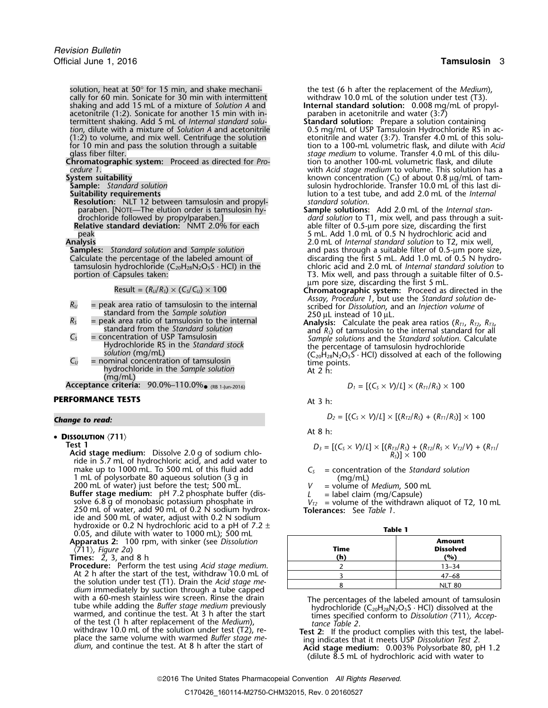solution, heat at 50° for 15 min, and shake mechani- the test (6 h after the replacement of the *Medium*), cally for 60 min. Sonicate for 30 min with intermittent withdraw 10.0 mL of the solution under test (T3). shaking and add 15 mL of a mixture of *Solution A* and **Internal standard solution:** 0.008 mg/mL of propyl-<br>acetonitrile (1:2). Sonicate for another 15 min with in-<br>paraben in acetonitrile and water (3:7) acetonitrile (1:2). Sonicate for another 15 min with in- paraben in acetonitrile and water (3:7) termittent shaking. Add 5 mL of *Internal standard solu-* **Standard solution:** Prepare a solution containing recomment in the mittent shaking. Add 5 mL of *Internal standard solution* and **Standard Solution**: Prepare a solution containing<br>tion, dilute with a mixture of *Solution A* and acetonitrile 0.5 mg/mL of USP Tamsulosin Hyd

**Chromatographic system:** Proceed as directed for *Pro-*<br>cedure 1.

**Resolution:** NLT 12 between tamsulosin and propyl-<br>paraben. [NOTE—The elution order is tamsulosin hyparaben. [NOTE—The elution order is tamsulosin hy-<br>drochloride followed by propylparaben.] **Sample solution** to T1, mix well, and pass through a su

$$
Result = (R_U/R_S) \times (C_S/C_U) \times 100
$$

- *R<sub>U</sub>* = peak area ratio of tamsulosin to the internal scribed for *Dissolution*, and *Injection* standard from the *Sample solution* volume and *ISSO µL* instead of 10 µL.
- 
- 
- (mg/mL)

 $\bf{Acceptance\,\, criteria:\,\,\,\, 90.0\%-110.0\% \bullet}$  (RB 1-Jun-2016)  $D_1 = [({\sf C}_S \times {\sf V})/L] \times ({\sf R}_{71}/{\sf R}_S) \times 100$ 

## **PERFORMANCE TESTS** At 3 h:

• **DISSOLUTION** 〈**711**〉

Test 1<br>Acid stage medium: Dissolve 2.0 g of sodium chloride in 5.7 mL of hydrochloric acid, and add water to make up to 1000 mL. To 500 mL of this fluid add *C<sub>S</sub>* = concentration of the *Standard solution* 1 mL of polysorbate 80 aqueous solution (3 g in (mq/mL) <sup>1</sup> mL of polysorbate 80 aqueous solution (3 <sup>g</sup>in (mg/mL) <sup>200</sup> mL of water) just before the test; 500 mL. *<sup>V</sup>* = volume of *Medium*, <sup>500</sup> mL **Buffer stage medium:** pH 7.2 <sup>p</sup>hosphate buffer (dis- *<sup>L</sup>* = label claim (mg/Capsule) solve 6.8 g of monobasic potassium phosphate in *<sup>V</sup>T2* = volume of the withdrawn aliquot of T2, 10 mL <sup>250</sup> mL of water, add 90 mL of 0.2 N sodium hydrox- **Tolerances:** See *Table 1*. ide and 500 mL of water, adjust with 0.2 N sodium<br>hydroxide or 0.2 N hydrochloric acid to a pH of 7.2  $\pm$ 

hydroxide or 0.2 N hydrochloric acid to a pH of 7.2 <sup>±</sup> **Table 1** 0.05, and dilute with water to 1000 mL); 500 mL **Apparatus 2:** 100 rpm, with sinker (see *Dissolution* **Amount**

**Procedure:** Perform the test using *Acid stage medium*. 2 13–34 At 2 h after the start of the test, withdraw 10.0 mL of the solution under test (T1). Drain the *Acid stage me- dium* immediately by suction through a tube capped with a 60-mesh stainless wire screen. Rinse the drain with a 60-mesh stainless wire screen. Rinse the drain<br>tube while adding the *Buffer stage medium* previously<br>warmed, and continue the test. At 3 h after the start<br>of the test (1 h after replacement of the *Medium*),<br>withd dium, and continue the test. At 8 h after the start of **Acid stage medium:** 0.003% Polysorbate 80, pH 1.2

- (1:2) to volume, and mix well. Centrifuge the solution etonitrile and water (3:7). Transfer 4.0 mL of this solufor 10 min and pass the solution through a suitable tion to a 100-mL volumetric flask, and dilute with *Acid* glass fiber filter.<br>**Stage medium to volume. Transfer 4.0 mL of this dilu-**<br>**Chromatographic system:** Proceed as directed for Pro-<br>tion to another 100-mL volumetric flask, and dilute *cedure 1*. with *Acid stage medium* to volume. This solution has a **System suitability** known concentration (*CS*) of about 0.8 µg/mL of tam-**Sample:** *Standard solution*<br> **Suitability requirements**<br> **Suitability requirements**<br> **Suitability requirements**<br> **Suitability requirements** lution to a test tube, and add 2.0 mL of the *Internal* standard solution.
- drochloride followed by propylparaben.]<br> **Relative standard deviation:** NMT 2.0% for each able filter of 0.5-µm pore size, discarding the first **Relative standard deviation:** NMT 2.0% for each able filter of 0.5-µm pore size, discarding the first peak 5 mL. Add 1.0 mL of 0.5 N hydrochloric acid and<br>2.0 mL of *Internal standard solution* to T2, mix we **Analysis** 2.0 mL of *Internal standard solution* to T2, mix well, **Samples:** *Standard solution* and *Sample solution* and pass through a suitable filter of 0.5-µm pore size, Calculate the percentage of the labeled amount of  $\hskip -1em -$  discarding the first 5 mL. Add 1.0 mL of 0.5 N hydrotamsulosin hydrochloride (C<sub>20</sub>H<sub>28</sub>N<sub>2</sub>O<sub>5</sub>S · HCl) in the chloric acid and 2.0 mL of *Internal standard solution* to<br>T3. Mix well, and pass through a suitable filter of 0.5-T3. Mix well, and pass through a suitable filter of 0.5- $\mu$ m pore size, discarding the first 5 mL.
	- <sup>µ</sup>m pore size, discarding the first 5 mL. Result = (*RU*/*RS*) × (*CS*/*CU*) ×<sup>100</sup> **Chromatographic system:** Proceed as directed in the *Assay, Procedure 1*, but use the *Standard solution* destandard from the *Sample solution*<br>= peak area ratio of tamsulosin to the internal<br>**Analysis:** Calculate the peak area ratios ( $R_{T1}$ ,  $R_{T2}$ ,  $R_{T3}$ ,
- $R_s$  = peak area ratio of tamsulosin to the internal standard solution<br>
standard from the *Standard solution*<br>  $C_s$  = concentration of USP Tamsulosin<br>
Hydrochloride RS in the *Standard stock*<br>
Hydrochloride RS in the *Sta*  $C_u$  solution (mg/mL)<br>
= nominal concentration of tamsulosin<br>
hydrochloride in the *Sample solution*<br>
time points.<br>
At 2 h:<br>
At 2 h:

$$
D_1 = [(C_s \times V)/L] \times (R_{T1}/R_s) \times 100
$$

**Change to read:** 
$$
D_2 = [(C_5 \times V)/L] \times [(R_{72}/R_5) + (R_{71}/R_5)] \times 100
$$

At 8 h:

$$
D_3 = \left[ (C_5 \times V)/L \right] \times \left[ (R_{73}/R_5) + (R_{72}/R_5 \times V_{72}/V) + (R_{71}/R_5) \right] \times 100
$$

| Tabl | ١F |  |
|------|----|--|
|      |    |  |

| 0.03, and dilute with water to T000 mL), 500 mL<br><b>Apparatus 2:</b> 100 rpm, with sinker (see Dissolution<br>$\langle 711 \rangle$ , Figure 2a)<br><b>Times:</b> $\overline{2}$ , 3, and 8 h | Time<br>(h) | <b>Amount</b><br><b>Dissolved</b><br>(%) |
|-------------------------------------------------------------------------------------------------------------------------------------------------------------------------------------------------|-------------|------------------------------------------|
| <b>Procedure:</b> Perform the test using Acid stage medium.                                                                                                                                     |             | 13–34                                    |
| At 2 h after the start of the test, withdraw 10.0 mL of                                                                                                                                         |             | $47 - 68$                                |
| the solution under test (T1). Drain the Acid stage me-<br>dium immediately by suction through a tube canned                                                                                     |             | <b>NLT 80</b>                            |

withdraw 10.0 mL of the solution under test  $(12)$ , re-<br>place the same volume with warmed *Buffer stage me-* and indicates that it meets USP Dissolution Test 2.

(dilute 8.5 mL of hydrochloric acid with water to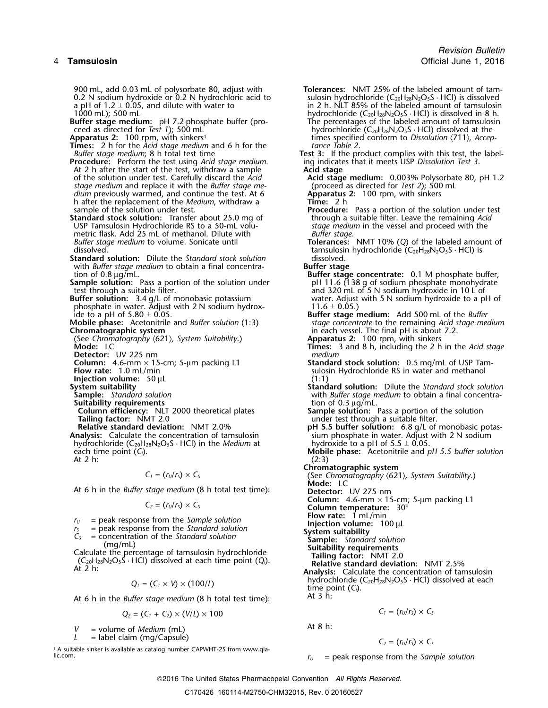900 mL, add 0.03 mL of polysorbate 80, adjust with **Tolerances:** NMT 25% of the labeled amount of tam-<br>0.2 N sodium hydroxide or 0.2 N hydrochloric acid to sulosin hydrochloride (C<sub>20</sub>H<sub>28</sub>N<sub>2</sub>O<sub>5</sub>S · HCl) is dissolved

**Times:** 2 h for the *Acid stage medium* and 6 h for the *tance Table 2*.

**Procedure:** Perform the test using *Acid stage medium*. ing indicate<br>At 2 h after the start of the test, withdraw a sample **Acid stage** At 2 h after the start of the test, withdraw a sample of the solution under test. Carefully discard the Acid *stage medium* and replace it with the *Buffer stage me-* (proceed as directed for *Test 2*); 500 dium previously warmed, and continue the test. At 6 **Apparatus 2:** 100 rpm, with sinkers *dium* previously warmed, and continue the test. At 6 **Apparatus Apparatus h** after the replacement of the *Medium*, withdraw a **Time:** 2 h h after the replacement of the *Medium*, withdraw a sample of the solution under test.

**Standard stock solution:** Transfer about 25.0 mg of through a suitable filter. Leave the remaining *Acids* USP Tamsulosin Hydrochloride RS to a 50-mL volu-<br>USP Tamsulosin Hydrochloride RS to a 50-mL volu-<br> USP Tamsulosin Hydrochloride RS to a 50-mL volu-<br>metric flask. Add 25 mL of methanol. Dilute with *Buffer stage.* metric flask. Add 25 mL of methanol. Dilute with *Buffer stage*.

**Standard solution:** Dilute the *Standard stock solution* with *Buffer stage medium* to obtain a final concentra-<br>**Buffer stage** tion of 0.8 ug/mL.

**Sample solution:** Pass a portion of the solution under test through a suitable filter.

**Buffer solution:** 3.4 g/L of monobasic potassium water. Adjust phosphate in water. Adjust with 2 N sodium hydrox-<br>11.6 ± 0.05.) phosphate in water. Adjust with 2 N sodium hydrox-<br>ide to a pH of  $5.80 \pm 0.05$ .

(See Chromatography *〈621〉, System Suitability*.)<br>**Mode:** LC

**Detector:** UV 225 nm

**Injection volume:** 50 µL<br>**System suitability** 

- 
- 

**Column efficiency:** NLT 2000 theoretical plates **Sample solution:** Pass a portion of the solution **Tailing factor:** NMT 2.0 **witch the suitable filter.** We also the suitable to the suitable filter.

hydrochloride  $(C_{20}H_{28}N_2O_5S \cdot HCl)$  in the *Medium* at each time point  $(C_i)$ .

At 6 h in the *Buffer stage medium* (8 h total test time):

- 
- 

$$
Q_1 = (C_1 \times V) \times (100/L)
$$

At 6 h in the *Buffer stage medium* (8 h total test time):

$$
Q_2=(C_1+C_2)\times (V/L)\times 100
$$

At 8 h: *<sup>V</sup>* = volume of *Medium* (mL)

*L* = label claim (mg/Capsule)

1. A suitable sinker is available as catalog number CAPWHT-2S from www.qlallc.com. *<sup>r</sup><sup>U</sup>* = peak response from the *Sample solution*

0.2 N sodium hydroxide or 0.2 N hydrochloric acid to sulosin hydrochloride (C<sub>20</sub>H<sub>28</sub>N<sub>2</sub>O<sub>5</sub>S · HCl) is dissolved a pH of 1.2 ± 0.05, and dilute with water to sulting the 2 h. NLT 85% of the labeled amount of tamsulosin a pH of  $1.2 \pm 0.05$ , and dilute with water to in 2 h. NLT 85% of the labeled amount of tamsulosin<br>1000 mL); 500 mL<br>hydrochloride (C<sub>20</sub>H<sub>28</sub>N<sub>2</sub>O<sub>5</sub>S · HCl) is dissolved in 8 h. 1000 mL); 500 mL<br>**Buffer stage medium:** pH 7.2 phosphate buffer (pro-<br>The percentages of the labeled amount of tamsulosin<br> $\frac{1}{2}$ **Buffer stage medium:** pH 7.2 phosphate buffer (pro-<br>ceed as directed for *Test 1*); 500 mL<br>hydrochloride (C<sub>20</sub>H<sub>28</sub>N<sub>2</sub>O<sub>5</sub>S · HCl) dissolved at the hydrochloride (C<sub>20</sub>H<sub>28</sub>N<sub>2</sub>O<sub>5</sub>S · HCl) dissolved at the times specified conform to *Dissolution* (711), Accep-**Apparatus 2:** 100 rpm, with sinkers<sup>1</sup> the state of times specified conform to *Dissolution*  $\langle 711 \rangle$ *, Accep-Buffer stage medium*; 8 h total test time **Test 3:** If the product complies with this test, the label-<br>**Procedure:** Perform the test using *Acid stage medium*. In indicates that it meets USP Dissolution Test 3. Acid stage medium: 0.003% Polysorbate 80, pH 1.2<br>(proceed as directed for *Test 2*); 500 mL **Procedure:** Pass a portion of the solution under test. through a suitable filter. Leave the remaining Acid *Buffer stage medium* to volume. Sonicate until **Tolerances:** NMT 10% (*Q*) of the labeled amount of dissolved.<br>
dissolved. tamsulosin hydrochloride (C<sub>20</sub>H<sub>28</sub>N<sub>2</sub>O<sub>5</sub>S · HCl) is tamsulosin hydrochloride ( $C_{20}H_{28}N_2O_5S \cdot HCl$ ) is dissolved Buffer stage concentrate: 0.1 M phosphate buffer,<br>pH 11.6 (138 g of sodium phosphate monohydrate and 320 mL of 5 N sodium hydroxide in 10 L of water. Adjust with 5 N sodium hydroxide to a pH of ide to a pH of 5.80 ± 0.05. **Buffer stage medium:** Add 500 mL of the *Buffer* **Mobile phase:** Acetonitrile and *Buffer solution* (1:3) *stage concentrate* to the remaining *Acid stage medium* in each vessel. The final pH is about 7.2.<br>**Apparatus 2:** 100 rpm, with sinkers **Times:** 3 and 8 h, including the 2 h in the *Acid stage*<br>medium **Column:** 4.6-mm × 15-cm; 5-µm packing L1 **Standard stock solution:** 0.5 mg/mL of USP Tamsulosin Hydrochloride RS in water and methanol (1:1) **Standard solution:** Dilute the *Standard solution*: Dilute the *Standard stock solution*<br>**Sample:** Standard solution **Standard solution** with *Buffer stage medium* to obtain a final concentra-**Sample:** *Standard solution* with *Buffer stage medium* to obtain a final concentra-**Suitability requirements**<br>**Column efficiency:** NLT 2000 theoretical plates **the Sample solution:** Pass a portion of the solution **Relative standard deviation:** NMT 2.0% **pH 5.5 buffer solution:** 6.8 g/L of monobasic potas-<br>Analysis: Calculate the concentration of tamsulosin sium phosphate in water. Adjust with 2 N sodium sium phosphate in water. Adjust with 2 N sodium example in the Medium at<br>  $\begin{array}{ll}\n\text{hydrochloride (C<sub>20</sub>H<sub>28</sub>N<sub>2</sub>O<sub>5</sub>S · HCl) in the *Medium* at \n\end{array}$ At 2 h:<br>
At 2 h:<br>
At 2 h: At 2 h: (2:3)  $C_1 = (r_U/r_S) \times C_S$  **Chromatographic system**<br>(See *Chromatography*  $\langle 621 \rangle$ *, System Suitability*.) **Mode:** LC **Column:**  $C_2 = (r_U/r_S) \times C_S$ <br>
Column:  $4.6-mm \times 15$ -cm; 5-µm packing L1<br>
Column temperature:  $30^\circ$ <br>
Column temperature:  $30^\circ$ <br>
Flow rate:  $1 mL/min$  $r_U$  = peak response from the *Sample solution* **Injection volume:** 100 µL<br>  $r_S$  = peak response from the *Standard solution* **Injection volume:** 100 µL  $T_5$  = peak response from the *Standard solution*<br>  $C_5$  = concentration of the *Standard solution*<br>
(mg/mL)<br>
Calculate the percentage of tamsulosin hydrochloride<br>
(C<sub>20</sub>H<sub>28</sub>N<sub>2</sub>O<sub>5</sub>S · HCl) dissolved at each time point hydrochloride (C<sub>20</sub>H<sub>28</sub>N<sub>2</sub>O<sub>5</sub>S · HCl) dissolved at each *dime point (C<sub>i</sub>)*.<br>At 3 h:

 $C_1 = (r_U/r_S) \times C_S$ 

$$
C_2 = (r_U/r_S) \times C_S
$$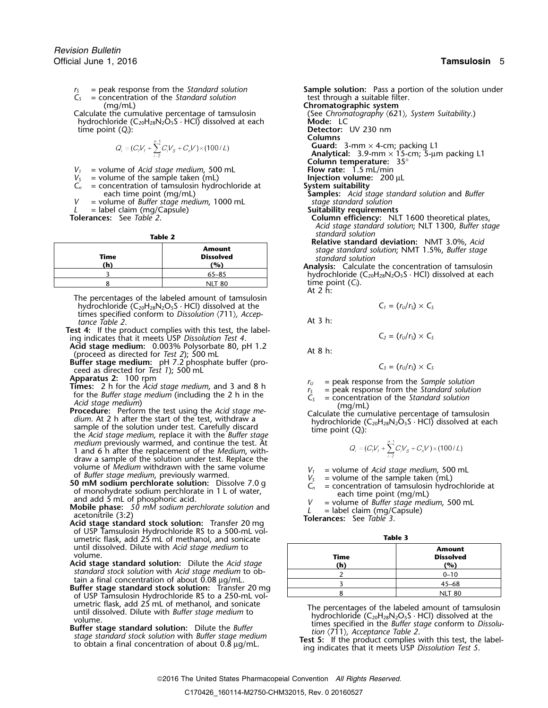- $\tilde{C}_s$  = concentration of the *Standard solution* (mg/mL)
- Calculate the cumulative percentage of tamsulosin (See *Chrom*<br>hydrochloride (C<sub>20</sub>H<sub>28</sub>N<sub>2</sub>O<sub>5</sub>S · HCl) dissolved at each **Mode:** LC hydrochloride (C<sub>20</sub>H<sub>28</sub>N<sub>2</sub>O<sub>5</sub>S · HCl) dissolved at each time point (O<sub>i</sub>):

$$
Q_i = (C_i V_f + \sum_{i=2}^{n-1} C_i V_s + C_n V) \times (100 / L)
$$

- 
- 
- $V_s$  = volume of the sample taken (mL) **Injection volume:**  $C_n$  = concentration of tamsulosin hydrochloride at **200 System suitability** = concentration of tamsulosin hydrochloride at each time point (mg/mL)
- *V* = volume of *Buffer stage medium*, 1000 mL *stage standard solution*
- *L* = label claim (mg/Capsule)<br>**Tolerances:** See Table 2.

| Time<br>(h) | <b>Amount</b><br><b>Dissolved</b><br>(%) |
|-------------|------------------------------------------|
|             | $65 - 85$                                |
|             | NI T                                     |

The percentages of the labeled amount of tamsulosin hydrochloride  $(C_{20}H_{28}N_2O_5S \cdot HCl)$  dissolved at the  $C_1 = (r_U/r_S) \times C_5$ times specified conform to *Dissolution*  $\langle 711 \rangle$ *, Accep-*<br>*tance Table 2*. At 3 h:

- **Test 4:** If the product complies with this test, the label-<br>
ing indicates that it meets USP *Dissolution Test 4*.<br> **Acid stage medium:** 0.003% Polysorbate 80, pH 1.2
- **Acid stage medium:** 0.003% Polysorbate 80, pH 1.2 At 8 h: (proceed as directed for *Test 2*); 500 mL
- **Buffer stage medium:** pH 7.2 phosphate buffer (pro-<br>ceed as directed for *Test 1*); 500 mL

- 
- **Apparatus 2:** 100 rpm<br> **Times:** 2 h for the *Acid stage medium*, and 3 and 8 h<br>
for the *Buffer stage medium* (including the 2 h in the<br> *Acid stage medium*<br> *Acid stage medium*<br> *Acid stage medium*<br> *Acid stage medium*<br> the *Acid stage medium*, replace it with the *Buffer stage medium* previously warmed, and continue the test. At 1 and 6 h after the replacement of the *Medium*, withdraw a sample of the solution under test. Replace the volume of *Medium* withdrawn with the same volume
- volume of Medium withdrawn with the same volume<br>
of Buffer stage medium, previously warmed.<br> **50 mM sodium perchlorate solution:** Dissolve 7.0 g<br>
of monohydrate solution perchlorate in 1 L of water,<br>
and add 5 mL<br> **S1 mM**
- 
- Acid stage standard stock solution: Transfer 20 mg<br>of USP Tamsulosin Hydrochloride RS to a 500-mL volumetric flask, add 25 mL of methanol, and sonicate until dissolved. Dilute with *Acid stage medium* to **Amount** volume. **Time Dissolved**
- 
- Acid stage standard solution: Dilute the *Acid stage*<br>standard stock solution with *Acid stage medium* to ob-<br>tain a final concentration of about 0.08 µg/mL.<br>Buffer stage standard stock solution: Transfer 20 mg<br>of USP Tams
- 

= peak response from the *Standard solution* **Sample solution:** Pass a portion of the solution under = concentration of the *Standard solution* **b** test through a suitable filter. **Chromatographic system**<br>(See Chromatography  $(621)$ , System Suitability.) Detector: UV 230 nm **Columns Guard:** 3-mm × 4-cm; packing L1 **Analytical:** 3.9-mm  $\times$  15-cm; 5-um packing L1 **Column temperature: 35°**<br>**Flow rate:** 1.5 mL/min  $V_1$  = volume of *Acid stage medium*, 500 mL **Flow rate:** 1.5 mL/min  $V_5$  = volume of the sample taken (mL) **Flow Flow rate:** 1.5 mL/min framples: *Acid stage standard solution* and *Buffer* stage standard solution **Column efficiency:** NLT 1600 theoretical plates, *Acid stage standard solution*; NLT 1300, *Buffer stage standard solution* **Table 2 Relative standard deviation:** NMT 3.0%, *Acid* **Amount** *stage standard solution*; NMT 1.5%, *Buffer stage* **Time Dissolved** *standard solution*

**(h) (%) Analysis:** Calculate the concentration of tamsulosin hydrochloride (C<sub>20</sub>H<sub>28</sub>N<sub>2</sub>O<sub>5</sub>S · HCl) dissolved at each  $time$  point  $(C_i)$ .

At 2 h:

$$
C_1 = (r_U/r_S) \times C
$$

$$
C_2 = (r_U/r_S) \times C
$$

$$
C_3 = (r_U/r_S) \times C_5
$$

- 
- 
- 

$$
Q_i = (C_i V_1 + \sum_{i=2}^{n-1} C_i V_s + C_n V) \times (100 / L)
$$

$$
=
$$
 volume of *Acid stage medium*, 500 ml

- 
- 
- 
- 

| Time<br>(h) | <b>Amount</b><br><b>Dissolved</b><br>(%) |
|-------------|------------------------------------------|
|             | $0 - 10$                                 |
|             | $45 - 68$                                |
|             | <b>NIT 80</b>                            |

until dissolved. Dilute with *Buffer* stage medium to<br>
butter stage medium to<br> **Example 19** under the Buffer stage medium butter stage standard solution: Dilute the *Buffer*<br>
specified in the *Buffer* stage conform to Dis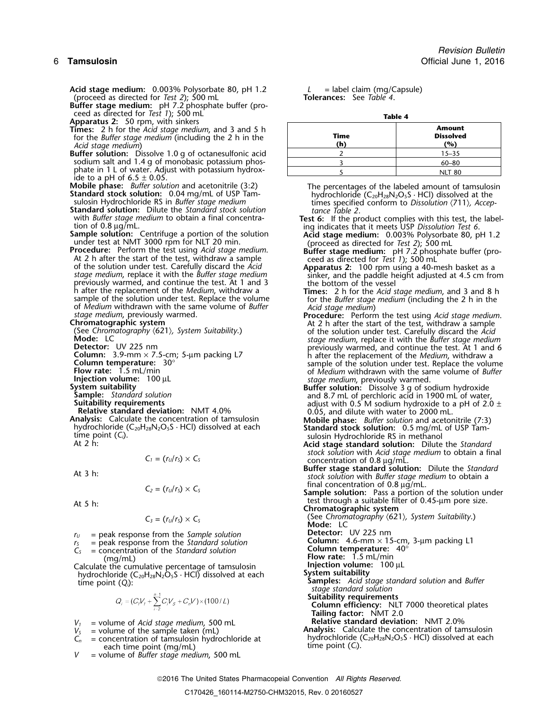Acid stage medium: 0.003% Polysorbate 80, pH 1.2 *L* = label claim (mg/Capsule)<br>(proceed as directed for *Test 2*); 500 mL **Tolerances:** See *Table 4*. (proceed as directed for *Test 2*); 500 mL **Tolerances:** See *Table 4*. **Buffer stage medium:** pH 7.2 phosphate buffer (pro-<br>ceed as directed for *Test 1*); 500 mL ceed as directed for *Test 1*); 500 mL **Table 4 Apparatus 2:** 50 rpm, with sinkers **Times:** 2 h for the *Acid stage medium*, and 3 and 5 h for the *Buffer stage medium* (including the 2 h in the *Acid stage medium* **(h) (%)** ) Buffer solution: Dissolve 1.0 g of octanesulfonic acid sodium salt and 1.4 g of monobasic potassium phosphate in 1 L of water. Adjust with potassium hydrox-<br>ide to a pH of  $6.5 \pm 0.05$ .<br>**Mobile phase:** *Buffer solution* and acetonitrile (3:2) **Mobile phase:** *Buffer solution* and acetonitrile (3:2) The percentages of the labeled amount of tamsulosin **Standard stock solution:** 0.04 mg/mL of USP Tam-<br>sulosin Hydrochloride RS in *Buffer stage medium*<br>**Standard so** with Buffer stage medium to obtain a final concentra-<br>
ing indicates that it meets USP Dissolution Test 6.<br>
Sample solution: Centrifuge a portion of the solution<br>
under test at NMT 3000 rpm for NLT 20 min.<br>
Proceed as dire previously warmed, and continue the test. At 1 and 3 h after the replacement of the *Medium*, withdraw a h after the replacement of the *Medium*, withdraw a **Times:** 2 h for the *Acid stage medium*, and 3 and 8 h of Medium withdrawn with the same volume of Buffer<br>
stage medium)<br>
stage medium, previously warmed.<br> **Chromatographic system**<br>
(See Chromatography (621), System Suitability.)<br>
Mode: LC<br>
Mode: LC<br>
Allex tage medium, replace betector: UV 225 nm<br>
Column: 3.9-mm × 7.5-cm; 5-µm packing L7<br>
Column temperature: 30°<br>
Flow rate: 1.5 mL/min<br>
Flow rate: 1.5 mL/min<br>
Flow rate: 1.5 mL/min **System suitability**<br>
System suitability<br>
System suitability<br>
Sample: Standard solution<br>
Suitability requirements<br>
Suitability requirements<br>
Suitability requirements<br>
Relative standard deviation: NMT 4.0%<br>
Relative standa **Analysis:** Calculate the concentration of tamsulosin by **Mobile phase:** *Buffer solution* and acetonitrile (7:3) hydrochloride (C<sub>20</sub>H<sub>28</sub>N<sub>2</sub>O<sub>5</sub>S · HCl) dissolved at each standard stock solution: 0.5 mg/mL of USP Tamti  $C_1 = (r_0/r_s) \times C_s$  concentration of 0.8  $\mu$ g/mL. **Buffer stage standard solution:** Dilute the *Standard*<br>*stock solution* with *Buffer stage medium* to obtain a<br>final concentration of 0.8 µg/mL.  $f(z) = (r_0/r_s) \times C_s$  **Sample solution:** Pass a portion of the solution under test through a suitable filter of 0.45-µm pore size. At 5 h: **Chromatographic system**  $r_U$  = peak response from the *Sample solution* **Detector:** UV 225 nm  $r_S$  = peak response from the *Standard solution* **Column:** 4.6-mm  $\times$  15 *r*<sub>*s*</sub> = peak response from the *Standard solution*<br>*I*<sub>S</sub> = peak response from the *Standard solution*<br>*C*<sub>s</sub> = concentration of the *Standard solution* **Column temperature:** 40°  $=$  concentration of the *Standard solution* (mg/mL) **Flow rate:** 1.5 mL/min Calculate the cumulative percentage of tamsulosin **Injection volume**<br>**Invertion function of the set of the set of the system suitability** hydrochloride (C<sub>20</sub>H<sub>28</sub>N<sub>2</sub>O<sub>5</sub>S</sub> · HCl) dissolved at each **System suitability**<br>
time point (Q<sub>i</sub>):<br>  $Q_i = (C_i V_i + \sum_{i=2}^{n-1} C_i V_s + C_n V) \times (100/L)$ <br>  $Q_i = (C_i V_i + \sum_{i=2}^{n-1} C_i V_s + C_n V) \times (100/L)$ <br> **Samples:** *Acid stage standard so*  $V_1$  = volume of *Acid stage medium*, 500 mL **Relative standard deviation:** NMT 2.0%<br> $V_5$  = volume of the sample taken (mL) **Analysis:** Calculate the concentration of tan  $V_s$  = volume of the sample taken (mL)<br>  $C_n$  = concentration of tamsulosin hydrochloride at hydrochloride ( $C_{20}H_{28}N_2O_sS \cdot HCl$ ) dissolved at each each time point (*mg/mL*). *V* = volume of *Buffer stage medium*, 500 mL

| --------    |                                          |
|-------------|------------------------------------------|
| Time<br>(h) | <b>Amount</b><br><b>Dissolved</b><br>(%) |
|             | $15 - 35$                                |
|             | $60 - 80$                                |
|             | <b>NLT 80</b>                            |

- 
- 
- 
- 
- 
- 
- 
- *stock solution* with *Acid stage medium* to obtain a final
- 

(See *Chromatography* 〈621〉*, System Suitability*.) *<sup>C</sup><sup>3</sup>* = (*<sup>r</sup>U*/*<sup>r</sup>S*) <sup>×</sup> *<sup>C</sup><sup>S</sup>* **Mode:** LC

- 
- **Suitability requirements**

**Column efficiency:** NLT 7000 theoretical plates **Tailing factor:** NMT 2.0

*hydrochloride* (C<sub>20</sub>H<sub>28</sub>N<sub>2</sub>O<sub>5</sub>S · HCl) dissolved at each *time point* (C<sub>i</sub>).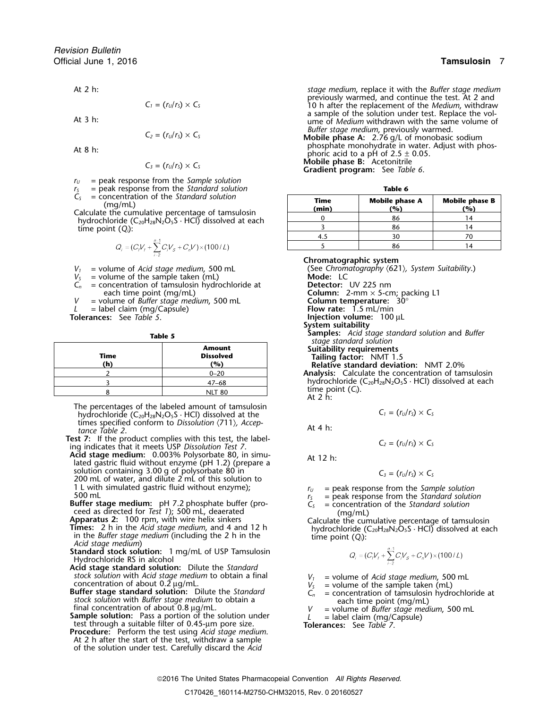$$
C_1=(r_U/r_S)\times C
$$

$$
C_2 = (r_U/r_S) \times C_S
$$

$$
C_3 = (r_U/r_S) \times C_S
$$

- *<sup>r</sup><sup>U</sup>* = peak response from the *Sample solution*
- = peak response from the *Standard solution*<br>= concentration of the *Standard solution*

 $C_5$  = concentration of the Standard solution<br>(mg/mL)<br>Calculate the cumulative percentage of tamsulosin<br>hydrochloride (C<sub>20</sub>H<sub>28</sub>N<sub>2</sub>O<sub>5</sub>S · HCl) dissolved at each time point  $(Q_i)$ :

$$
Q_i = (C_i V_1 + \sum_{i=2}^{n-1} C_i V_s + C_n V) \times (100 / L)
$$

- 
- 
- $V_s$  = volume of the sample taken (mL)<br> $C_n$  = concentration of tamsulosin hydro = concentration of tamsulosin hydrochloride at each time point (mg/mL)
- *V* = volume of *Buffer stage medium*, 500 mL **Column temperature:**<br> *L* = label claim (mg/Capsule) **Column is a** Flow rate: 1.5 mL/min *L* = label claim (mg/Capsule)<br>**Tolerances:** See Table 5.
- 

| Time<br>(h) | <b>Amount</b><br><b>Dissolved</b><br>(%) |
|-------------|------------------------------------------|
|             | $0 - 20$                                 |
|             | $47 - 68$                                |
|             | <b>NLT 80</b>                            |

The percentages of the labeled amount of tamsulosin hydrochloride  $(C_{20}H_{28}N_2O_5S \cdot HCl)$  dissolved at the times specified conform to *Dissolution*  $\langle 711 \rangle$ *, Acceptance Table 2*.

**Test 7:** If the product complies with this test, the label-<br>ing indicates that it meets USP *Dissolution Test 7*.<br>**Acid stage medium:** 0.003% Polysorbate 80, in simu-

**Acid stage medium:** 0.003% Polysorbate 80, in simu-<br>lated gastric fluid without enzyme (pH 1.2) (prepare a solution containing 3.00 g of polysorbate 80 in  $C_3 = (r_U/r_S) \times C_S$ <br>200 mL of water, and dilute 2 mL of this solution to 1 L with simulated gastric fluid without enzyme);<br>
500 mL<br> **SUPERENT AND FORM SUPE ASSESS** = peak response from the *Standard solution*<br> **SUPERENT STAND FORM SUPERENT ASSESS** = concentration of the *Standard solution*<br>  $C$ 

**Buffer stage medium:** pH 7.2 phosphate buffer (proceed as directed for *Test 1*); 500 mL, deaerated

- ceed as directed for *Test 1*); 500 mL, deaerated (mg/mL)<br> **Apparatus 2:** 100 rpm, with wire helix sinkers<br> **Calculate the cumulative percentage of tamsulosin**<br> **Times:** 2 h in the *Acid stage medium* (including the 2 h i
- **Standard stock solution:** 1 mg/mL of USP Tamsulosin Hydrochloride RS in alcohol
- **Acid stage standard solution:** Dilute the *Standard*
- stock solution with Acid stage medium to obtain a final<br>concentration of about 0.2  $\mu$ g/mL.<br>Buffer stage standard solution: Dilute the *Standard*<br>stock solution with Buffer stage medium to obtain a<br>final concentration of
- 
- **Procedure:** Perform the test using *Acid stage medium*. At 2 h after the start of the test, withdraw a sample of the solution under test. Carefully discard the *Acid*

At 2 h: *stage medium*, replace it with the *Buffer stage medium* previously warmed, and continue the test. At 2 and  $\overline{S}$  and  $\overline{S}$  and  $\overline{S}$  and  $\overline{S}$  and  $\overline{S}$  10 h after the replacement of the *Medium*, withdraw a sample of the solution under test. Replace the vol-<br>At 3 h: ume of *Medium* withdrawn with the same volume of *Buffer stage medium, previously warmed.* **Mobile phase A:** 2.76 g/L of monobasic sodium

At 8 h:<br>At 8 h:<br> $C = (r_1/r_1) \times C_2$  and At 8 here acid to a pH of 2.5 ± 0.05.<br>**Mobile phase B:** Acetonitrile **Mobile phase B:** Acetonitrile *<sup>C</sup><sup>3</sup>* = (*<sup>r</sup>U*/*<sup>r</sup>S*) <sup>×</sup> *<sup>C</sup><sup>S</sup>* **Gradient program:** See *Table 6*.

| Table |  |
|-------|--|
|-------|--|

| Time<br>(min) | <b>Mobile phase A</b><br>$\mathcal{P}_{\mathbf{O}}$ | <b>Mobile phase B</b><br>(%) |
|---------------|-----------------------------------------------------|------------------------------|
|               | 86                                                  |                              |
|               | 86                                                  |                              |
|               |                                                     |                              |
|               |                                                     |                              |

**Chromatographic system**  $V_1$  = volume of *Acid stage medium*, 500 mL (See *Chromatography*  $\langle 621 \rangle$ *, System Suitability.*)<br>  $V_5$  = volume of the sample taken (mL) **Mode:** LC Detector: UV 225 nm<br>Column: 2-mm × 5-cm; packing L1<br>Column temperature: 30° **Injection volume:** 100 µL **System suitability Examples:** *Acid stage standard solution* and *Buffer*<br> **Amount Amount Suitability requirements Tailing factor:** NMT 1.5 **(h) (%) Relative standard deviation:** NMT 2.0% Analysis: Calculate the concentration of tamsulosin hydrochloride  $(C_{20}H_{28}N_2O_5S \cdot HCl)$  dissolved at each

time point  $(C_i)$ .<br>At 2 h:

$$
C_1 = (r_U/r_S) \times C_S
$$

$$
C_2 = (r_U/r_S) \times C_S
$$

$$
C_3 = (r_U/r_S) \times C_5
$$

- 
- 

$$
Q_i = (C_i V_f + \sum_{i=2}^{n-1} C_i V_s + C_n V) \times (100 / L)
$$

- 
- 
- 
-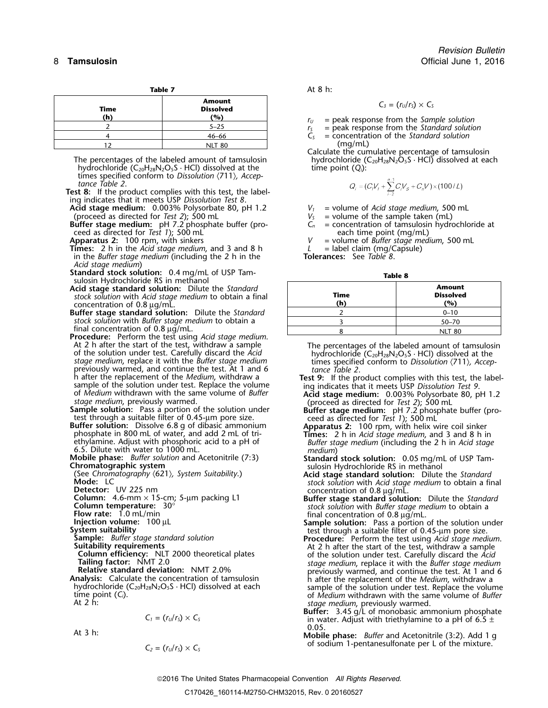| labi<br>æ |  |
|-----------|--|
|           |  |

| Time<br>(h) | Amount<br><b>Dissolved</b><br>(%) | $C_3 = (r_U/r_S) \times C_S$<br>$=$ peak response from the San<br>$r_{\rm H}$ |
|-------------|-----------------------------------|-------------------------------------------------------------------------------|
|             | $5 - 25$                          | = peak response from the Star                                                 |
|             | 46–66                             | = concentration of the Standa                                                 |
|             | <b>NLT 80</b>                     | (mq/mL)                                                                       |

The percentages of the labeled amount of tamsulosin hydrochloride ( $C_{20}H_{28}N_2O_5S \cdot HCl$ ) dissolved at each hydrochloride  $(C_{20}H_{28}N_2O_5S \cdot HCl)$  dissolved at the time point  $(Q_i)$ : times specified conform to *Dissolution* 〈711〉*, Acceptance Table 2*.

**Test 8:** If the product complies with this test, the labeling indicates that it meets USP *Dissolution Test 8*.

**Acid stage medium:** 0.003% Polysorbate 80, pH 1.2 *V<sup>1</sup>* = volume of *Acid stage medium*, 500 mL (proceed as directed for *Test 2*); 500 mL *V<sup>S</sup>* = volume of the sample taken (mL)

**Buffer stage medium:** pH 7.2 phosphate buffer (pro- *C<sup>n</sup>* = concentration of tamsulosin hydrochloride at ceed as directed for *Test 1*); 500 mL<br> **Apparatus 2:** 100 rpm, with sinkers  $V =$  volume of *Buffer stage med* 

**Times:** 2 h in the *Acid stage medium*, and 3 and 8 h  $L =$  label claim (mg/C<br>in the *Buffer stage medium* (including the 2 h in the **Tolerances:** See Table 8. in the *Buffer stage medium* (including the 2 h in the *Acid stage medium*)

**Standard stock solution:** 0.4 mg/mL of USP Tam-<br>sulosin Hydrochloride RS in methanol<br>

Acid stage standard solution: Dilute the Standard **stock solution with** *Acid* **stage medium to obtain a final** concentration of 0.8 <sup>µ</sup>g/mL. **(h) (%)**

**Buffer stage standard solution:** Dilute the Standard *stock solution* with *Buffer stage medium* to obtain a final concentration of 0.8  $\mu$ g/mL.

**Procedure:** Perform the test using *Acid stage medium*. At 2 h after the start of the test, withdraw a sample At 2 h after the start of the test, withdraw a sample<br>of the solution under test. Carefully discard the Acid<br>stage medium, replace it with the Buffer stage medium<br>previously warmed, and continue the test. At 1 and 6 times previously warmed, and continue the test. At 1 and 6<br>h after the replacement of the *Medium*, withdraw a h after the replacement of the *Medium*, withdraw a<br>sample of the solution under test. Replace the volume ing indicates that it meets USP Dissolution Test 9.

- 
- 

$$
C_1 = (r_U/r_S) \times C_S
$$

At 
$$
3 \, \text{h}
$$
:

$$
C_2 = (r_U/r_S) \times C_S
$$

**Table 7** At 8 h:

$$
C_3 = (r_U/r_S) \times C_5
$$

 $\begin{array}{ll} r_U & = \text{peak response from the Sample solution} \\ r_S & = \text{peak response from the Standard solution} \\ C_S & = \text{concentration of the Standard solution} \end{array}$ 

 $=$  concentration of the *Standard solution*  $(mq/mL)$ 

Calculate the cumulative percentage of tamsulosin

$$
Q_i = (C_i V_j + \sum_{i=2}^{n-1} C_i V_s + C_n V) \times (100 / L)
$$

= volume of *Buffer stage medium*, 500 mL<br>= label claim (mg/Capsule)

| Time<br>(h) | <b>Amount</b><br><b>Dissolved</b><br>(%) |  |
|-------------|------------------------------------------|--|
|             | $0 - 10$                                 |  |
|             | $50 - 70$                                |  |
|             | 80                                       |  |

- of *Medium* withdrawn with the same volume of *Buffer*<br>
Sample solution: Pass a portion of the solution under<br>
Sample solution: Pass a portion of the solution under<br>
Buffer stage medium: ph 7.2 phosphate buffer (pro-<br>
test
	-
- ethylamine. Adjust with phosphoric acid to a pH of<br>
6.5. Dilute with water to 1000 mL.<br>
Mobile phase: Buffer solution and Acetonitrile (7:3)<br>
Mobile phase: Buffer solution and Acetonitrile (7:3)<br>
(See Chromatography (621),

- **Mode:** LC<br>**Detector:** UV 225 nm<br>**Detector:** UV 225 nm
- **Column:** 4.6-mm × 15-cm; 5-µm packing L1 **Buffer stage standard solution:** Dilute the *Standard* **Column temperature:** 30° **Column temperature:**  $30^{\circ}$  **stock solution** with *Buffer stage medium* to obtain a **Flow rate:** 1.0 mL/min **a independing** final concentration of 0.8 µg/mL.
	-
- **Sample solution:** Pass a portion of the solution under<br>
System suitability<br>
Sample: Buffer stage standard solution<br>
Sample: Buffer stage standard solution<br>
Sample: Buffer stage standard solution<br>
Sample solution: Pass a **Relative standard deviation:** NMT 2.0% previously warmed, and continue the test. At 1 and 6<br> **Analysis:** Calculate the concentration of tamsulosin<br>
hydrochloride (C<sub>20</sub>H<sub>28</sub>N<sub>2</sub>O<sub>5</sub>S · HCl) dissolved at each<br>
time point
	- stage medium, previously warmed.<br>**Buffer:** 3.45 g/L of monobasic ammonium phosphate in water. Adjust with triethylamine to a pH of 6.5  $\pm$  0.05.
	- Mobile phase: *Buffer* and Acetonitrile (3:2). Add 1 g  $o$ *f* sodium 1-pentanesulfonate per L of the mixture.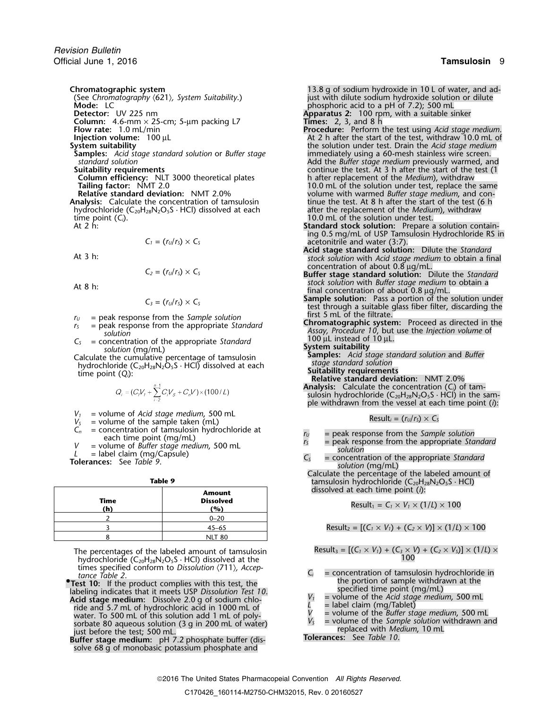*Revision Bulletin* Official June 1, 2016 **Tamsulosin** 9

**Mode:** LC **C** phosphoric acid to a pH of 7.2); 500 mL<br>**Detector:** UV 225 nm **phosphoric acid to a pH** of 7.2); 500 mL **Detector:** UV 225 nm **Apparatus 2:** 100 rpm, with a suitable sinker **Column:** 4.6-mm × 25-cm; 5-µm packing L7<br>**Flow rate:** 1.0 mL/min

**Column efficiency:** NLT 3000 theoretical plates h after replacement of the *Medium*), withdraw

**Analysis:** Calculate the concentration of tamsulosin tinue the test. At 8 h after the start of the test (6 hydrochloride (C<sub>20</sub>H<sub>28</sub>N<sub>2</sub>O<sub>5</sub>S · HCl) dissolved at each after the replacement of the *Medium*), withdraw hydrochloride (C<sub>20</sub>H<sub>28</sub>N<sub>2</sub>O<sub>5</sub>S · HCl) dissolved at each time point (*C<sub>i</sub>*). The solution under test.<br>At 2 h: 10.0 mL of the solution under test.<br>**10.0 mL** of the solution: Prepare a

$$
C_1 = (r_U/r_S) \times C_S
$$

$$
C_2 = (r_U/r_S) \times C_S
$$

$$
C_3 = (r_U/r_S) \times C_S
$$

- 
- 
- Calculate the cumulative percentage of tamsulosin **Samples:** *Acid stage standard solution* and *Buffer stage standard solution* hydrochloride (C20H28N2O5<sup>S</sup> · HCl) dissolved at each **Suitability requirements** time point (*Qi*): **Relative standard deviation:** NMT 2.0%

$$
Q_i = (C_i V_f + \sum_{i=2}^{n-1} C_i V_s + C_n V) \times (100/L)
$$

- 
- *V*<sub>*I*</sub> = volume of *Acid stage medium*, 500 mL<br>*V*<sub>*S*</sub> = volume of the sample taken (mL)<br>*C*<sub>*n*</sub> = concentration of tamsulosin hydrochloride at
- 
- 

|      | Amount                  | dissolved at each time point $(i)$ :                                                          |
|------|-------------------------|-----------------------------------------------------------------------------------------------|
| Time | <b>Dissolved</b><br>(%) | Result <sub>1</sub> = $C_1 \times V_1 \times (1/L) \times 100$                                |
|      | $0 - 20$                |                                                                                               |
|      | $45 - 65$               | Result <sub>2</sub> = [( $C_1 \times V_1$ ) + ( $C_2 \times V$ )] $\times$ (1/L) $\times$ 100 |
|      | <b>NLT 80</b>           |                                                                                               |

The percentages of the labeled amount of tamsulosin hydrochloride  $(C_{20}H_{28}N_2O_5S \cdot HCl)$  dissolved at the times specified conform to *Dissolution*  $\langle 711 \rangle$ *, Accep-*<br>*C<sub>i</sub>* = concentration of tamsulosin hydrochloride in *the Table 2*.<br>**Act 10**: If the product complies with this test the **the** *SC* in the portion of sample w

**Example in the product complies with this test, the set of the set of the set of the set of the set of the set of the set of the set of the set of the set of the set of the set of the set of the set of the set of the set** water. To 500 mL of this solution add 1 mL of poly-<br>water. To 500 mL of this solution add 1 mL of poly-<br>sorbate 80 aqueous solution (3 g in 200 mL of water)  $V_s$  = volume of the *Sample solution* withdrawn and just before the test; 500 mL.<br>
just before the test; 500 mL.<br> **Buffer stage medium:** pH 7.2 phosphate buffer (dis-<br> **Tolerances:** See Table 10.

solve 68 g of monobasic potassium phosphate and

**Chromatographic system**<br>(See Chromatography (621), System Suitability.) **13.8** g of sodium hydroxide in 10 L of water, and ad-<br>just with dilute sodium hydroxide solution or dilute (See *Chromatography* 〈621〉*, System Suitability*.) just with dilute sodium hydroxide solution or dilute

- **Flow rate:** 1.0 mL/min **Procedure:** Perform the test using *Acid stage medium*. **Injection volume:** 100 µL **At 2 h after the start of the test, withdraw 10.0 mL of System suitability and the solution under test. Drain the** *Acid stage medium* **System suitability** the solution under test. Drain the *Acid stage medium* **Samples:** *Acid stage standard solution* or *Buffer stage* immediately using a 60-mesh stainless wire screen.<br>Standard solution and solution or *Buffer* stage and a Add the *Buffer stage medium* previously warmed, an *standard solution*<br>**Suitability requirements**<br>Continue the test. At 3 h after the start of the test (1 continue the test. At 3 h after the start of the test (1<br>h after replacement of the *Medium*), withdraw **Tailing factor:** NMT 2.0 10.0 mL of the solution under test, replace the same **Relative standard deviation:** NMT 2.0% volume with warmed *Buffer stage medium*, and con-<br> **nalysis:** Calculate the concentration of tamsulosin tinue the test. At 8 h after the start of the test (6 h
	- Standard stock solution: Prepare a solution containing 0.5 mg/mL of USP Tamsulosin Hydrochloride RS in acetonitrile and water (3:7).
- **Acid stage standard solution:** Dilute the *Standard* At 3 h:<br>At 3 h:<br>*stock solution* with *Acid stage medium* to obtain a final<br>concentration of about 0.8 µg/mL.
- Buffer stage standard solution: Dilute the *Standard* stock solution with *Buffer stage medium* to obtain a At 8 h: **At 8 h: a** At 8 h: **contration** a At 8 h: **final concentration** of about 0.8 μg/mL.
	- **Sample solution:** Pass a portion of the solution under test through a suitable glass fiber filter, discarding the first 5 mL of the filtrate.
- $r_5$  = peak response from the *Sample solution*<br>  $r_5$  = peak response from the appropriate *Standard*<br>
solution<br>  $r_5$  = concentration of the appropriate *Standard*<br>  $r_5$  = concentration of the appropriate *Standard*<br>
	- -
		-
		-
	- **Analysis:** Calculate the concentration (*Ci*) of tamsulosin hydrochloride (C $_{20}$ H $_{28}$ N $_{2}$ O $_{5}$ S  $\cdot$  HCl) in the sample withdrawn from the vessel at each time point (*i*):

$$
Result_i = (r_U/r_S) \times C_S
$$

- 
- $C_n$  = concentration of tamsulosin hydrochloride at each time point (mg/mL)<br>  $V$  = volume of *Buffer stage medium*, 500 mL  $L$  = label claim (mg/Capsule)<br>
Tolerances: See Table 9.<br>
Tolerances: See Table 9.<br>
Tolerances: Se
	-

Calculate the percentage of the labeled amount of **Table 9** tamsulosin hydrochloride (C<sub>20</sub>H<sub>28</sub>N<sub>2</sub>O<sub>5</sub>S · HCl) dissolved at each time point (*i*): **Amount**

Result<sub>2</sub> = 
$$
[(C_1 \times V_1) + (C_2 \times V)] \times (1/L) \times 100
$$

$$
Result_3 = \left[ (C_1 \times V_1) + (C_3 \times V) + (C_2 \times V_3) \right] \times (1/L) \times 100
$$

- Test 10: If the product complies with this test the sample with the portion of sample withdrawn at the
	-
	-
	-
	-